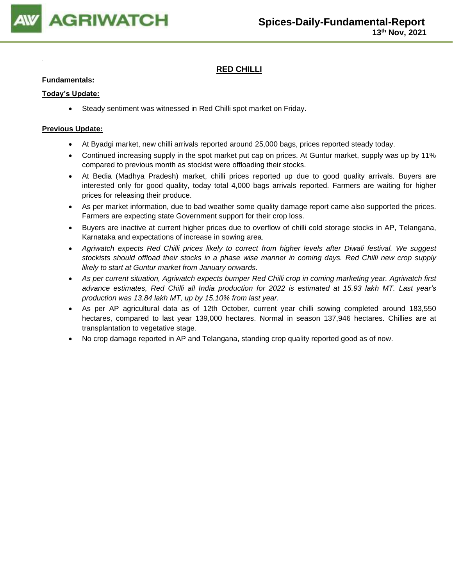

# **RED CHILLI**

## **Fundamentals:**

### **Today's Update:**

• Steady sentiment was witnessed in Red Chilli spot market on Friday.

- At Byadgi market, new chilli arrivals reported around 25,000 bags, prices reported steady today.
- Continued increasing supply in the spot market put cap on prices. At Guntur market, supply was up by 11% compared to previous month as stockist were offloading their stocks.
- At Bedia (Madhya Pradesh) market, chilli prices reported up due to good quality arrivals. Buyers are interested only for good quality, today total 4,000 bags arrivals reported. Farmers are waiting for higher prices for releasing their produce.
- As per market information, due to bad weather some quality damage report came also supported the prices. Farmers are expecting state Government support for their crop loss.
- Buyers are inactive at current higher prices due to overflow of chilli cold storage stocks in AP, Telangana, Karnataka and expectations of increase in sowing area.
- *Agriwatch expects Red Chilli prices likely to correct from higher levels after Diwali festival. We suggest stockists should offload their stocks in a phase wise manner in coming days. Red Chilli new crop supply likely to start at Guntur market from January onwards.*
- *As per current situation, Agriwatch expects bumper Red Chilli crop in coming marketing year. Agriwatch first advance estimates, Red Chilli all India production for 2022 is estimated at 15.93 lakh MT. Last year's production was 13.84 lakh MT, up by 15.10% from last year.*
- As per AP agricultural data as of 12th October, current year chilli sowing completed around 183,550 hectares, compared to last year 139,000 hectares. Normal in season 137,946 hectares. Chillies are at transplantation to vegetative stage.
- No crop damage reported in AP and Telangana, standing crop quality reported good as of now.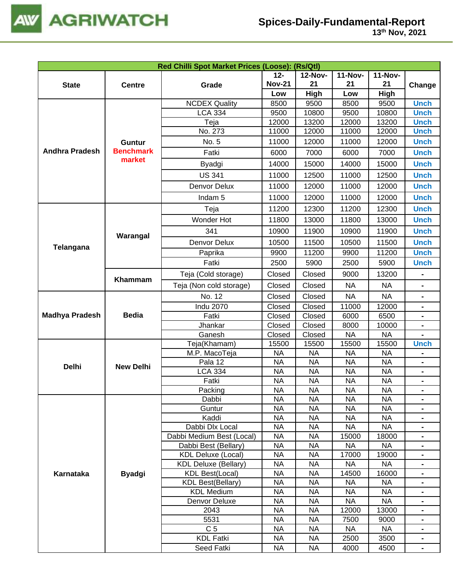

| Red Chilli Spot Market Prices (Loose): (Rs/Qtl) |                  |                                                                                                                                                                                                                                                                                                                                                                                                                                                                                                                                                                                                                                                                                                                                                                                                                                                                                                                                                                                                                                                                                                                                                                                                                                                                                                                                                                                                                                                                                                                                                                                                                                                                                                                                                                                                                                                                                                                                                                                                                                                                                                                                                                                                                                                                                                                                                                                                                                                                                                                                                                                                                                                                                                                                                                                                                                                                                                     |               |                |                |                |             |  |
|-------------------------------------------------|------------------|-----------------------------------------------------------------------------------------------------------------------------------------------------------------------------------------------------------------------------------------------------------------------------------------------------------------------------------------------------------------------------------------------------------------------------------------------------------------------------------------------------------------------------------------------------------------------------------------------------------------------------------------------------------------------------------------------------------------------------------------------------------------------------------------------------------------------------------------------------------------------------------------------------------------------------------------------------------------------------------------------------------------------------------------------------------------------------------------------------------------------------------------------------------------------------------------------------------------------------------------------------------------------------------------------------------------------------------------------------------------------------------------------------------------------------------------------------------------------------------------------------------------------------------------------------------------------------------------------------------------------------------------------------------------------------------------------------------------------------------------------------------------------------------------------------------------------------------------------------------------------------------------------------------------------------------------------------------------------------------------------------------------------------------------------------------------------------------------------------------------------------------------------------------------------------------------------------------------------------------------------------------------------------------------------------------------------------------------------------------------------------------------------------------------------------------------------------------------------------------------------------------------------------------------------------------------------------------------------------------------------------------------------------------------------------------------------------------------------------------------------------------------------------------------------------------------------------------------------------------------------------------------------------|---------------|----------------|----------------|----------------|-------------|--|
|                                                 |                  |                                                                                                                                                                                                                                                                                                                                                                                                                                                                                                                                                                                                                                                                                                                                                                                                                                                                                                                                                                                                                                                                                                                                                                                                                                                                                                                                                                                                                                                                                                                                                                                                                                                                                                                                                                                                                                                                                                                                                                                                                                                                                                                                                                                                                                                                                                                                                                                                                                                                                                                                                                                                                                                                                                                                                                                                                                                                                                     | $12 -$        | <b>12-Nov-</b> | <b>11-Nov-</b> | <b>11-Nov-</b> |             |  |
| <b>State</b>                                    | <b>Centre</b>    | Grade                                                                                                                                                                                                                                                                                                                                                                                                                                                                                                                                                                                                                                                                                                                                                                                                                                                                                                                                                                                                                                                                                                                                                                                                                                                                                                                                                                                                                                                                                                                                                                                                                                                                                                                                                                                                                                                                                                                                                                                                                                                                                                                                                                                                                                                                                                                                                                                                                                                                                                                                                                                                                                                                                                                                                                                                                                                                                               | <b>Nov-21</b> | 21             | 21             | 21             | Change      |  |
|                                                 |                  |                                                                                                                                                                                                                                                                                                                                                                                                                                                                                                                                                                                                                                                                                                                                                                                                                                                                                                                                                                                                                                                                                                                                                                                                                                                                                                                                                                                                                                                                                                                                                                                                                                                                                                                                                                                                                                                                                                                                                                                                                                                                                                                                                                                                                                                                                                                                                                                                                                                                                                                                                                                                                                                                                                                                                                                                                                                                                                     | Low           | High           | Low            | <b>High</b>    |             |  |
|                                                 |                  | <b>NCDEX Quality</b>                                                                                                                                                                                                                                                                                                                                                                                                                                                                                                                                                                                                                                                                                                                                                                                                                                                                                                                                                                                                                                                                                                                                                                                                                                                                                                                                                                                                                                                                                                                                                                                                                                                                                                                                                                                                                                                                                                                                                                                                                                                                                                                                                                                                                                                                                                                                                                                                                                                                                                                                                                                                                                                                                                                                                                                                                                                                                | 8500          | 9500           | 8500           | 9500           | <b>Unch</b> |  |
|                                                 |                  | <b>LCA 334</b>                                                                                                                                                                                                                                                                                                                                                                                                                                                                                                                                                                                                                                                                                                                                                                                                                                                                                                                                                                                                                                                                                                                                                                                                                                                                                                                                                                                                                                                                                                                                                                                                                                                                                                                                                                                                                                                                                                                                                                                                                                                                                                                                                                                                                                                                                                                                                                                                                                                                                                                                                                                                                                                                                                                                                                                                                                                                                      | 9500          | 10800          | 9500           |                | <b>Unch</b> |  |
|                                                 |                  |                                                                                                                                                                                                                                                                                                                                                                                                                                                                                                                                                                                                                                                                                                                                                                                                                                                                                                                                                                                                                                                                                                                                                                                                                                                                                                                                                                                                                                                                                                                                                                                                                                                                                                                                                                                                                                                                                                                                                                                                                                                                                                                                                                                                                                                                                                                                                                                                                                                                                                                                                                                                                                                                                                                                                                                                                                                                                                     |               |                |                |                |             |  |
|                                                 |                  |                                                                                                                                                                                                                                                                                                                                                                                                                                                                                                                                                                                                                                                                                                                                                                                                                                                                                                                                                                                                                                                                                                                                                                                                                                                                                                                                                                                                                                                                                                                                                                                                                                                                                                                                                                                                                                                                                                                                                                                                                                                                                                                                                                                                                                                                                                                                                                                                                                                                                                                                                                                                                                                                                                                                                                                                                                                                                                     |               |                |                |                |             |  |
|                                                 | <b>Guntur</b>    | No. 5                                                                                                                                                                                                                                                                                                                                                                                                                                                                                                                                                                                                                                                                                                                                                                                                                                                                                                                                                                                                                                                                                                                                                                                                                                                                                                                                                                                                                                                                                                                                                                                                                                                                                                                                                                                                                                                                                                                                                                                                                                                                                                                                                                                                                                                                                                                                                                                                                                                                                                                                                                                                                                                                                                                                                                                                                                                                                               | 11000         | 12000          | 11000          | 12000          | <b>Unch</b> |  |
| <b>Andhra Pradesh</b>                           | <b>Benchmark</b> | Fatki                                                                                                                                                                                                                                                                                                                                                                                                                                                                                                                                                                                                                                                                                                                                                                                                                                                                                                                                                                                                                                                                                                                                                                                                                                                                                                                                                                                                                                                                                                                                                                                                                                                                                                                                                                                                                                                                                                                                                                                                                                                                                                                                                                                                                                                                                                                                                                                                                                                                                                                                                                                                                                                                                                                                                                                                                                                                                               | 6000          | 7000           | 6000           | 7000           | <b>Unch</b> |  |
|                                                 |                  | Byadgi                                                                                                                                                                                                                                                                                                                                                                                                                                                                                                                                                                                                                                                                                                                                                                                                                                                                                                                                                                                                                                                                                                                                                                                                                                                                                                                                                                                                                                                                                                                                                                                                                                                                                                                                                                                                                                                                                                                                                                                                                                                                                                                                                                                                                                                                                                                                                                                                                                                                                                                                                                                                                                                                                                                                                                                                                                                                                              | 14000         | 15000          | 14000          | 15000          | <b>Unch</b> |  |
|                                                 |                  | <b>US 341</b>                                                                                                                                                                                                                                                                                                                                                                                                                                                                                                                                                                                                                                                                                                                                                                                                                                                                                                                                                                                                                                                                                                                                                                                                                                                                                                                                                                                                                                                                                                                                                                                                                                                                                                                                                                                                                                                                                                                                                                                                                                                                                                                                                                                                                                                                                                                                                                                                                                                                                                                                                                                                                                                                                                                                                                                                                                                                                       | 11000         | 12500          | 11000          | 12500          | <b>Unch</b> |  |
|                                                 |                  | Denvor Delux                                                                                                                                                                                                                                                                                                                                                                                                                                                                                                                                                                                                                                                                                                                                                                                                                                                                                                                                                                                                                                                                                                                                                                                                                                                                                                                                                                                                                                                                                                                                                                                                                                                                                                                                                                                                                                                                                                                                                                                                                                                                                                                                                                                                                                                                                                                                                                                                                                                                                                                                                                                                                                                                                                                                                                                                                                                                                        | 11000         | 12000          | 11000          | 12000          | <b>Unch</b> |  |
|                                                 |                  | 10800<br>Teja<br>12000<br>13200<br>12000<br>13200<br><b>Unch</b><br>No. 273<br>11000<br>12000<br>11000<br>12000<br><b>Unch</b><br>market<br>11000<br>12000<br>11000<br><b>Unch</b><br>Indam <sub>5</sub><br>12000<br>Teja<br>11200<br>12300<br>11200<br>12300<br><b>Unch</b><br>Wonder Hot<br>11800<br>11800<br><b>Unch</b><br>13000<br>13000<br>341<br>10900<br><b>Unch</b><br>11900<br>10900<br>11900<br>Warangal<br>Denvor Delux<br>10500<br>11500<br>10500<br>11500<br><b>Unch</b><br>9900<br>11200<br>9900<br>11200<br><b>Unch</b><br>Paprika<br>Fatki<br>2500<br>2500<br>5900<br>5900<br><b>Unch</b><br>Teja (Cold storage)<br>Closed<br>Closed<br>9000<br>13200<br>-<br>Closed<br>Closed<br>Teja (Non cold storage)<br><b>NA</b><br><b>NA</b><br>$\qquad \qquad \blacksquare$<br>No. 12<br>Closed<br>Closed<br><b>NA</b><br><b>NA</b><br>$\blacksquare$<br><b>Indu 2070</b><br>Closed<br>11000<br>12000<br>Closed<br>$\blacksquare$<br><b>Bedia</b><br>Closed<br>Closed<br>Fatki<br>6000<br>6500<br>Closed<br>Closed<br>10000<br>Jhankar<br>8000<br>$\blacksquare$<br>Ganesh<br>Closed<br>Closed<br><b>NA</b><br><b>NA</b><br>Teja(Khamam)<br>15500<br>15500<br>15500<br>15500<br><b>Unch</b><br><b>NA</b><br>M.P. MacoTeja<br><b>NA</b><br><b>NA</b><br><b>NA</b><br><b>NA</b><br>Pala 12<br><b>NA</b><br><b>NA</b><br><b>NA</b><br>$\blacksquare$<br><b>New Delhi</b><br><b>LCA 334</b><br><b>NA</b><br><b>NA</b><br><b>NA</b><br><b>NA</b><br>Fatki<br><b>NA</b><br><b>NA</b><br><b>NA</b><br><b>NA</b><br>۰.<br><b>NA</b><br><b>NA</b><br><b>NA</b><br>Packing<br><b>NA</b><br><b>NA</b><br><b>NA</b><br><b>NA</b><br><b>NA</b><br>Dabbi<br>$\blacksquare$<br><b>NA</b><br><b>NA</b><br><b>NA</b><br><b>NA</b><br>Guntur<br>Kaddi<br><b>NA</b><br><b>NA</b><br><b>NA</b><br><b>NA</b><br><b>NA</b><br><b>NA</b><br><b>NA</b><br><b>NA</b><br>Dabbi Dlx Local<br>Dabbi Medium Best (Local)<br><b>NA</b><br><b>NA</b><br>15000<br>18000<br>$\blacksquare$<br><b>NA</b><br><b>NA</b><br><b>NA</b><br><b>NA</b><br>Dabbi Best (Bellary)<br>$\blacksquare$<br><b>NA</b><br><b>NA</b><br>17000<br>19000<br><b>KDL Deluxe (Local)</b><br><b>NA</b><br><b>NA</b><br><b>NA</b><br><b>KDL Deluxe (Bellary)</b><br><b>NA</b><br>$\blacksquare$<br><b>NA</b><br><b>KDL Best(Local)</b><br><b>NA</b><br>14500<br>16000<br><b>NA</b><br><b>NA</b><br><b>KDL Best(Bellary)</b><br><b>NA</b><br>NA.<br>-<br><b>KDL Medium</b><br><b>NA</b><br><b>NA</b><br><b>NA</b><br><b>NA</b><br>$\blacksquare$<br><b>NA</b><br><b>NA</b><br>Denvor Deluxe<br><b>NA</b><br><b>NA</b><br>$\blacksquare$<br><b>NA</b><br>2043<br><b>NA</b><br>12000<br>13000<br>$\qquad \qquad \blacksquare$<br><b>NA</b><br><b>NA</b><br>5531<br>7500<br>9000<br>$\blacksquare$<br>C <sub>5</sub><br><b>NA</b><br><b>NA</b><br><b>NA</b><br><b>NA</b><br><b>KDL Fatki</b><br><b>NA</b><br><b>NA</b><br>2500<br>3500<br>$\blacksquare$ |               |                |                |                |             |  |
|                                                 |                  |                                                                                                                                                                                                                                                                                                                                                                                                                                                                                                                                                                                                                                                                                                                                                                                                                                                                                                                                                                                                                                                                                                                                                                                                                                                                                                                                                                                                                                                                                                                                                                                                                                                                                                                                                                                                                                                                                                                                                                                                                                                                                                                                                                                                                                                                                                                                                                                                                                                                                                                                                                                                                                                                                                                                                                                                                                                                                                     |               |                |                |                |             |  |
|                                                 |                  |                                                                                                                                                                                                                                                                                                                                                                                                                                                                                                                                                                                                                                                                                                                                                                                                                                                                                                                                                                                                                                                                                                                                                                                                                                                                                                                                                                                                                                                                                                                                                                                                                                                                                                                                                                                                                                                                                                                                                                                                                                                                                                                                                                                                                                                                                                                                                                                                                                                                                                                                                                                                                                                                                                                                                                                                                                                                                                     |               |                |                |                |             |  |
|                                                 |                  |                                                                                                                                                                                                                                                                                                                                                                                                                                                                                                                                                                                                                                                                                                                                                                                                                                                                                                                                                                                                                                                                                                                                                                                                                                                                                                                                                                                                                                                                                                                                                                                                                                                                                                                                                                                                                                                                                                                                                                                                                                                                                                                                                                                                                                                                                                                                                                                                                                                                                                                                                                                                                                                                                                                                                                                                                                                                                                     |               |                |                |                |             |  |
|                                                 |                  |                                                                                                                                                                                                                                                                                                                                                                                                                                                                                                                                                                                                                                                                                                                                                                                                                                                                                                                                                                                                                                                                                                                                                                                                                                                                                                                                                                                                                                                                                                                                                                                                                                                                                                                                                                                                                                                                                                                                                                                                                                                                                                                                                                                                                                                                                                                                                                                                                                                                                                                                                                                                                                                                                                                                                                                                                                                                                                     |               |                |                |                |             |  |
| Telangana                                       |                  |                                                                                                                                                                                                                                                                                                                                                                                                                                                                                                                                                                                                                                                                                                                                                                                                                                                                                                                                                                                                                                                                                                                                                                                                                                                                                                                                                                                                                                                                                                                                                                                                                                                                                                                                                                                                                                                                                                                                                                                                                                                                                                                                                                                                                                                                                                                                                                                                                                                                                                                                                                                                                                                                                                                                                                                                                                                                                                     |               |                |                |                |             |  |
|                                                 |                  |                                                                                                                                                                                                                                                                                                                                                                                                                                                                                                                                                                                                                                                                                                                                                                                                                                                                                                                                                                                                                                                                                                                                                                                                                                                                                                                                                                                                                                                                                                                                                                                                                                                                                                                                                                                                                                                                                                                                                                                                                                                                                                                                                                                                                                                                                                                                                                                                                                                                                                                                                                                                                                                                                                                                                                                                                                                                                                     |               |                |                |                |             |  |
|                                                 | Khammam          |                                                                                                                                                                                                                                                                                                                                                                                                                                                                                                                                                                                                                                                                                                                                                                                                                                                                                                                                                                                                                                                                                                                                                                                                                                                                                                                                                                                                                                                                                                                                                                                                                                                                                                                                                                                                                                                                                                                                                                                                                                                                                                                                                                                                                                                                                                                                                                                                                                                                                                                                                                                                                                                                                                                                                                                                                                                                                                     |               |                |                |                |             |  |
|                                                 |                  |                                                                                                                                                                                                                                                                                                                                                                                                                                                                                                                                                                                                                                                                                                                                                                                                                                                                                                                                                                                                                                                                                                                                                                                                                                                                                                                                                                                                                                                                                                                                                                                                                                                                                                                                                                                                                                                                                                                                                                                                                                                                                                                                                                                                                                                                                                                                                                                                                                                                                                                                                                                                                                                                                                                                                                                                                                                                                                     |               |                |                |                |             |  |
|                                                 |                  |                                                                                                                                                                                                                                                                                                                                                                                                                                                                                                                                                                                                                                                                                                                                                                                                                                                                                                                                                                                                                                                                                                                                                                                                                                                                                                                                                                                                                                                                                                                                                                                                                                                                                                                                                                                                                                                                                                                                                                                                                                                                                                                                                                                                                                                                                                                                                                                                                                                                                                                                                                                                                                                                                                                                                                                                                                                                                                     |               |                |                |                |             |  |
|                                                 |                  |                                                                                                                                                                                                                                                                                                                                                                                                                                                                                                                                                                                                                                                                                                                                                                                                                                                                                                                                                                                                                                                                                                                                                                                                                                                                                                                                                                                                                                                                                                                                                                                                                                                                                                                                                                                                                                                                                                                                                                                                                                                                                                                                                                                                                                                                                                                                                                                                                                                                                                                                                                                                                                                                                                                                                                                                                                                                                                     |               |                |                |                |             |  |
| <b>Madhya Pradesh</b>                           |                  |                                                                                                                                                                                                                                                                                                                                                                                                                                                                                                                                                                                                                                                                                                                                                                                                                                                                                                                                                                                                                                                                                                                                                                                                                                                                                                                                                                                                                                                                                                                                                                                                                                                                                                                                                                                                                                                                                                                                                                                                                                                                                                                                                                                                                                                                                                                                                                                                                                                                                                                                                                                                                                                                                                                                                                                                                                                                                                     |               |                |                |                |             |  |
|                                                 |                  |                                                                                                                                                                                                                                                                                                                                                                                                                                                                                                                                                                                                                                                                                                                                                                                                                                                                                                                                                                                                                                                                                                                                                                                                                                                                                                                                                                                                                                                                                                                                                                                                                                                                                                                                                                                                                                                                                                                                                                                                                                                                                                                                                                                                                                                                                                                                                                                                                                                                                                                                                                                                                                                                                                                                                                                                                                                                                                     |               |                |                |                |             |  |
|                                                 |                  |                                                                                                                                                                                                                                                                                                                                                                                                                                                                                                                                                                                                                                                                                                                                                                                                                                                                                                                                                                                                                                                                                                                                                                                                                                                                                                                                                                                                                                                                                                                                                                                                                                                                                                                                                                                                                                                                                                                                                                                                                                                                                                                                                                                                                                                                                                                                                                                                                                                                                                                                                                                                                                                                                                                                                                                                                                                                                                     |               |                |                |                |             |  |
|                                                 |                  |                                                                                                                                                                                                                                                                                                                                                                                                                                                                                                                                                                                                                                                                                                                                                                                                                                                                                                                                                                                                                                                                                                                                                                                                                                                                                                                                                                                                                                                                                                                                                                                                                                                                                                                                                                                                                                                                                                                                                                                                                                                                                                                                                                                                                                                                                                                                                                                                                                                                                                                                                                                                                                                                                                                                                                                                                                                                                                     |               |                |                |                |             |  |
|                                                 |                  |                                                                                                                                                                                                                                                                                                                                                                                                                                                                                                                                                                                                                                                                                                                                                                                                                                                                                                                                                                                                                                                                                                                                                                                                                                                                                                                                                                                                                                                                                                                                                                                                                                                                                                                                                                                                                                                                                                                                                                                                                                                                                                                                                                                                                                                                                                                                                                                                                                                                                                                                                                                                                                                                                                                                                                                                                                                                                                     |               |                |                |                |             |  |
| <b>Delhi</b>                                    |                  |                                                                                                                                                                                                                                                                                                                                                                                                                                                                                                                                                                                                                                                                                                                                                                                                                                                                                                                                                                                                                                                                                                                                                                                                                                                                                                                                                                                                                                                                                                                                                                                                                                                                                                                                                                                                                                                                                                                                                                                                                                                                                                                                                                                                                                                                                                                                                                                                                                                                                                                                                                                                                                                                                                                                                                                                                                                                                                     |               |                |                |                |             |  |
|                                                 |                  |                                                                                                                                                                                                                                                                                                                                                                                                                                                                                                                                                                                                                                                                                                                                                                                                                                                                                                                                                                                                                                                                                                                                                                                                                                                                                                                                                                                                                                                                                                                                                                                                                                                                                                                                                                                                                                                                                                                                                                                                                                                                                                                                                                                                                                                                                                                                                                                                                                                                                                                                                                                                                                                                                                                                                                                                                                                                                                     |               |                |                |                |             |  |
|                                                 |                  |                                                                                                                                                                                                                                                                                                                                                                                                                                                                                                                                                                                                                                                                                                                                                                                                                                                                                                                                                                                                                                                                                                                                                                                                                                                                                                                                                                                                                                                                                                                                                                                                                                                                                                                                                                                                                                                                                                                                                                                                                                                                                                                                                                                                                                                                                                                                                                                                                                                                                                                                                                                                                                                                                                                                                                                                                                                                                                     |               |                |                |                |             |  |
|                                                 |                  |                                                                                                                                                                                                                                                                                                                                                                                                                                                                                                                                                                                                                                                                                                                                                                                                                                                                                                                                                                                                                                                                                                                                                                                                                                                                                                                                                                                                                                                                                                                                                                                                                                                                                                                                                                                                                                                                                                                                                                                                                                                                                                                                                                                                                                                                                                                                                                                                                                                                                                                                                                                                                                                                                                                                                                                                                                                                                                     |               |                |                |                |             |  |
|                                                 |                  |                                                                                                                                                                                                                                                                                                                                                                                                                                                                                                                                                                                                                                                                                                                                                                                                                                                                                                                                                                                                                                                                                                                                                                                                                                                                                                                                                                                                                                                                                                                                                                                                                                                                                                                                                                                                                                                                                                                                                                                                                                                                                                                                                                                                                                                                                                                                                                                                                                                                                                                                                                                                                                                                                                                                                                                                                                                                                                     |               |                |                |                |             |  |
|                                                 |                  |                                                                                                                                                                                                                                                                                                                                                                                                                                                                                                                                                                                                                                                                                                                                                                                                                                                                                                                                                                                                                                                                                                                                                                                                                                                                                                                                                                                                                                                                                                                                                                                                                                                                                                                                                                                                                                                                                                                                                                                                                                                                                                                                                                                                                                                                                                                                                                                                                                                                                                                                                                                                                                                                                                                                                                                                                                                                                                     |               |                |                |                |             |  |
|                                                 |                  |                                                                                                                                                                                                                                                                                                                                                                                                                                                                                                                                                                                                                                                                                                                                                                                                                                                                                                                                                                                                                                                                                                                                                                                                                                                                                                                                                                                                                                                                                                                                                                                                                                                                                                                                                                                                                                                                                                                                                                                                                                                                                                                                                                                                                                                                                                                                                                                                                                                                                                                                                                                                                                                                                                                                                                                                                                                                                                     |               |                |                |                |             |  |
|                                                 |                  |                                                                                                                                                                                                                                                                                                                                                                                                                                                                                                                                                                                                                                                                                                                                                                                                                                                                                                                                                                                                                                                                                                                                                                                                                                                                                                                                                                                                                                                                                                                                                                                                                                                                                                                                                                                                                                                                                                                                                                                                                                                                                                                                                                                                                                                                                                                                                                                                                                                                                                                                                                                                                                                                                                                                                                                                                                                                                                     |               |                |                |                |             |  |
|                                                 |                  |                                                                                                                                                                                                                                                                                                                                                                                                                                                                                                                                                                                                                                                                                                                                                                                                                                                                                                                                                                                                                                                                                                                                                                                                                                                                                                                                                                                                                                                                                                                                                                                                                                                                                                                                                                                                                                                                                                                                                                                                                                                                                                                                                                                                                                                                                                                                                                                                                                                                                                                                                                                                                                                                                                                                                                                                                                                                                                     |               |                |                |                |             |  |
|                                                 |                  |                                                                                                                                                                                                                                                                                                                                                                                                                                                                                                                                                                                                                                                                                                                                                                                                                                                                                                                                                                                                                                                                                                                                                                                                                                                                                                                                                                                                                                                                                                                                                                                                                                                                                                                                                                                                                                                                                                                                                                                                                                                                                                                                                                                                                                                                                                                                                                                                                                                                                                                                                                                                                                                                                                                                                                                                                                                                                                     |               |                |                |                |             |  |
|                                                 |                  |                                                                                                                                                                                                                                                                                                                                                                                                                                                                                                                                                                                                                                                                                                                                                                                                                                                                                                                                                                                                                                                                                                                                                                                                                                                                                                                                                                                                                                                                                                                                                                                                                                                                                                                                                                                                                                                                                                                                                                                                                                                                                                                                                                                                                                                                                                                                                                                                                                                                                                                                                                                                                                                                                                                                                                                                                                                                                                     |               |                |                |                |             |  |
|                                                 |                  |                                                                                                                                                                                                                                                                                                                                                                                                                                                                                                                                                                                                                                                                                                                                                                                                                                                                                                                                                                                                                                                                                                                                                                                                                                                                                                                                                                                                                                                                                                                                                                                                                                                                                                                                                                                                                                                                                                                                                                                                                                                                                                                                                                                                                                                                                                                                                                                                                                                                                                                                                                                                                                                                                                                                                                                                                                                                                                     |               |                |                |                |             |  |
| Karnataka                                       | <b>Byadgi</b>    |                                                                                                                                                                                                                                                                                                                                                                                                                                                                                                                                                                                                                                                                                                                                                                                                                                                                                                                                                                                                                                                                                                                                                                                                                                                                                                                                                                                                                                                                                                                                                                                                                                                                                                                                                                                                                                                                                                                                                                                                                                                                                                                                                                                                                                                                                                                                                                                                                                                                                                                                                                                                                                                                                                                                                                                                                                                                                                     |               |                |                |                |             |  |
|                                                 |                  |                                                                                                                                                                                                                                                                                                                                                                                                                                                                                                                                                                                                                                                                                                                                                                                                                                                                                                                                                                                                                                                                                                                                                                                                                                                                                                                                                                                                                                                                                                                                                                                                                                                                                                                                                                                                                                                                                                                                                                                                                                                                                                                                                                                                                                                                                                                                                                                                                                                                                                                                                                                                                                                                                                                                                                                                                                                                                                     |               |                |                |                |             |  |
|                                                 |                  |                                                                                                                                                                                                                                                                                                                                                                                                                                                                                                                                                                                                                                                                                                                                                                                                                                                                                                                                                                                                                                                                                                                                                                                                                                                                                                                                                                                                                                                                                                                                                                                                                                                                                                                                                                                                                                                                                                                                                                                                                                                                                                                                                                                                                                                                                                                                                                                                                                                                                                                                                                                                                                                                                                                                                                                                                                                                                                     |               |                |                |                |             |  |
|                                                 |                  |                                                                                                                                                                                                                                                                                                                                                                                                                                                                                                                                                                                                                                                                                                                                                                                                                                                                                                                                                                                                                                                                                                                                                                                                                                                                                                                                                                                                                                                                                                                                                                                                                                                                                                                                                                                                                                                                                                                                                                                                                                                                                                                                                                                                                                                                                                                                                                                                                                                                                                                                                                                                                                                                                                                                                                                                                                                                                                     |               |                |                |                |             |  |
|                                                 |                  |                                                                                                                                                                                                                                                                                                                                                                                                                                                                                                                                                                                                                                                                                                                                                                                                                                                                                                                                                                                                                                                                                                                                                                                                                                                                                                                                                                                                                                                                                                                                                                                                                                                                                                                                                                                                                                                                                                                                                                                                                                                                                                                                                                                                                                                                                                                                                                                                                                                                                                                                                                                                                                                                                                                                                                                                                                                                                                     |               |                |                |                |             |  |
|                                                 |                  |                                                                                                                                                                                                                                                                                                                                                                                                                                                                                                                                                                                                                                                                                                                                                                                                                                                                                                                                                                                                                                                                                                                                                                                                                                                                                                                                                                                                                                                                                                                                                                                                                                                                                                                                                                                                                                                                                                                                                                                                                                                                                                                                                                                                                                                                                                                                                                                                                                                                                                                                                                                                                                                                                                                                                                                                                                                                                                     |               |                |                |                |             |  |
|                                                 |                  |                                                                                                                                                                                                                                                                                                                                                                                                                                                                                                                                                                                                                                                                                                                                                                                                                                                                                                                                                                                                                                                                                                                                                                                                                                                                                                                                                                                                                                                                                                                                                                                                                                                                                                                                                                                                                                                                                                                                                                                                                                                                                                                                                                                                                                                                                                                                                                                                                                                                                                                                                                                                                                                                                                                                                                                                                                                                                                     |               |                |                |                |             |  |
|                                                 |                  |                                                                                                                                                                                                                                                                                                                                                                                                                                                                                                                                                                                                                                                                                                                                                                                                                                                                                                                                                                                                                                                                                                                                                                                                                                                                                                                                                                                                                                                                                                                                                                                                                                                                                                                                                                                                                                                                                                                                                                                                                                                                                                                                                                                                                                                                                                                                                                                                                                                                                                                                                                                                                                                                                                                                                                                                                                                                                                     |               |                |                |                |             |  |
|                                                 |                  | Seed Fatki                                                                                                                                                                                                                                                                                                                                                                                                                                                                                                                                                                                                                                                                                                                                                                                                                                                                                                                                                                                                                                                                                                                                                                                                                                                                                                                                                                                                                                                                                                                                                                                                                                                                                                                                                                                                                                                                                                                                                                                                                                                                                                                                                                                                                                                                                                                                                                                                                                                                                                                                                                                                                                                                                                                                                                                                                                                                                          | <b>NA</b>     | <b>NA</b>      | 4000           | 4500           |             |  |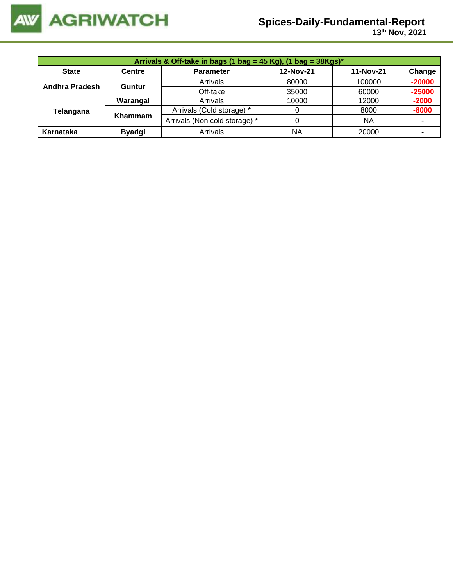

# **Spices-Daily-Fundamental-Report**

 **13 th Nov, 2021**

|                | Arrivals & Off-take in bags (1 bag = 45 Kg), (1 bag = $38Kgs$ )* |                               |           |           |                |  |  |  |  |
|----------------|------------------------------------------------------------------|-------------------------------|-----------|-----------|----------------|--|--|--|--|
| <b>State</b>   | <b>Centre</b>                                                    | <b>Parameter</b>              | 12-Nov-21 | 11-Nov-21 | Change         |  |  |  |  |
| Andhra Pradesh | Guntur                                                           | Arrivals                      | 80000     | 100000    | $-20000$       |  |  |  |  |
|                |                                                                  | Off-take                      | 35000     | 60000     | $-25000$       |  |  |  |  |
|                | Warangal                                                         | Arrivals                      | 10000     | 12000     | $-2000$        |  |  |  |  |
| Telangana      | Khammam                                                          | Arrivals (Cold storage) *     |           | 8000      | $-8000$        |  |  |  |  |
|                |                                                                  | Arrivals (Non cold storage) * | 0         | <b>NA</b> | $\blacksquare$ |  |  |  |  |
| Karnataka      | <b>Byadgi</b>                                                    | Arrivals                      | ΝA        | 20000     |                |  |  |  |  |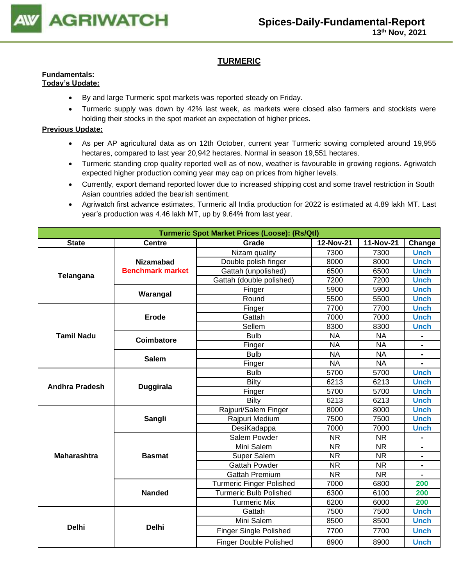

# **TURMERIC**

#### **Fundamentals: Today's Update:**

- By and large Turmeric spot markets was reported steady on Friday.
- Turmeric supply was down by 42% last week, as markets were closed also farmers and stockists were holding their stocks in the spot market an expectation of higher prices.

- As per AP agricultural data as on 12th October, current year Turmeric sowing completed around 19,955 hectares, compared to last year 20,942 hectares. Normal in season 19,551 hectares.
- Turmeric standing crop quality reported well as of now, weather is favourable in growing regions. Agriwatch expected higher production coming year may cap on prices from higher levels.
- Currently, export demand reported lower due to increased shipping cost and some travel restriction in South Asian countries added the bearish sentiment.
- Agriwatch first advance estimates, Turmeric all India production for 2022 is estimated at 4.89 lakh MT. Last year's production was 4.46 lakh MT, up by 9.64% from last year.

| <b>Turmeric Spot Market Prices (Loose): (Rs/Qtl)</b> |                         |                                 |           |           |                |  |  |
|------------------------------------------------------|-------------------------|---------------------------------|-----------|-----------|----------------|--|--|
| <b>State</b>                                         | <b>Centre</b>           | Grade                           | 12-Nov-21 | 11-Nov-21 | Change         |  |  |
|                                                      |                         | Nizam quality                   | 7300      | 7300      | <b>Unch</b>    |  |  |
| Telangana                                            | <b>Nizamabad</b>        | Double polish finger            | 8000      | 8000      | <b>Unch</b>    |  |  |
|                                                      | <b>Benchmark market</b> | Gattah (unpolished)             | 6500      | 6500      | <b>Unch</b>    |  |  |
|                                                      |                         | Gattah (double polished)        | 7200      | 7200      | <b>Unch</b>    |  |  |
|                                                      | Warangal                | Finger                          | 5900      | 5900      | <b>Unch</b>    |  |  |
|                                                      |                         | Round                           | 5500      | 5500      | <b>Unch</b>    |  |  |
|                                                      |                         | Finger                          | 7700      | 7700      | <b>Unch</b>    |  |  |
|                                                      | Erode                   | Gattah                          | 7000      | 7000      | <b>Unch</b>    |  |  |
|                                                      |                         | Sellem                          | 8300      | 8300      | <b>Unch</b>    |  |  |
| <b>Tamil Nadu</b>                                    | Coimbatore              | <b>Bulb</b>                     | <b>NA</b> | <b>NA</b> |                |  |  |
|                                                      |                         | Finger                          | <b>NA</b> | <b>NA</b> | $\blacksquare$ |  |  |
|                                                      | <b>Salem</b>            | <b>Bulb</b>                     | <b>NA</b> | <b>NA</b> |                |  |  |
|                                                      |                         | Finger                          | <b>NA</b> | <b>NA</b> |                |  |  |
|                                                      |                         | <b>Bulb</b>                     | 5700      | 5700      | <b>Unch</b>    |  |  |
| <b>Andhra Pradesh</b>                                | <b>Duggirala</b>        | <b>Bilty</b>                    | 6213      | 6213      | <b>Unch</b>    |  |  |
|                                                      |                         | Finger                          | 5700      | 5700      | <b>Unch</b>    |  |  |
|                                                      |                         | Bilty                           | 6213      | 6213      | <b>Unch</b>    |  |  |
|                                                      |                         | Rajpuri/Salem Finger            | 8000      | 8000      | <b>Unch</b>    |  |  |
|                                                      | Sangli                  | Rajpuri Medium                  | 7500      | 7500      | <b>Unch</b>    |  |  |
|                                                      |                         | DesiKadappa                     | 7000      | 7000      | <b>Unch</b>    |  |  |
|                                                      |                         | Salem Powder                    | <b>NR</b> | <b>NR</b> |                |  |  |
|                                                      |                         | Mini Salem                      | <b>NR</b> | <b>NR</b> |                |  |  |
| <b>Maharashtra</b>                                   | <b>Basmat</b>           | Super Salem                     | <b>NR</b> | <b>NR</b> | ۰              |  |  |
|                                                      |                         | <b>Gattah Powder</b>            | <b>NR</b> | <b>NR</b> | ٠              |  |  |
|                                                      |                         | <b>Gattah Premium</b>           | <b>NR</b> | <b>NR</b> |                |  |  |
|                                                      |                         | <b>Turmeric Finger Polished</b> | 7000      | 6800      | 200            |  |  |
|                                                      | <b>Nanded</b>           | Turmeric Bulb Polished          | 6300      | 6100      | 200            |  |  |
|                                                      |                         | <b>Turmeric Mix</b>             | 6200      | 6000      | 200            |  |  |
|                                                      |                         | Gattah                          | 7500      | 7500      | <b>Unch</b>    |  |  |
| <b>Delhi</b>                                         | <b>Delhi</b>            | Mini Salem                      | 8500      | 8500      | <b>Unch</b>    |  |  |
|                                                      |                         | <b>Finger Single Polished</b>   | 7700      | 7700      | <b>Unch</b>    |  |  |
|                                                      |                         | <b>Finger Double Polished</b>   | 8900      | 8900      | <b>Unch</b>    |  |  |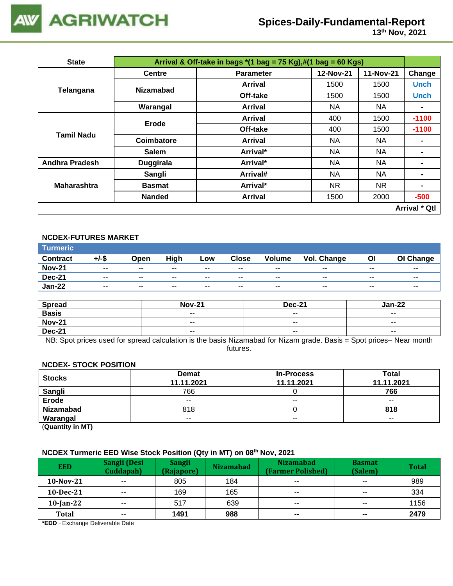

# **Spices-Daily-Fundamental-Report**

| <b>State</b>          |                                                                                                                                                                                                                                                                                                                                                                                                                                 |                  |           |           |                      |
|-----------------------|---------------------------------------------------------------------------------------------------------------------------------------------------------------------------------------------------------------------------------------------------------------------------------------------------------------------------------------------------------------------------------------------------------------------------------|------------------|-----------|-----------|----------------------|
|                       | <b>Centre</b>                                                                                                                                                                                                                                                                                                                                                                                                                   | <b>Parameter</b> | 12-Nov-21 | 11-Nov-21 | Change               |
|                       |                                                                                                                                                                                                                                                                                                                                                                                                                                 | Arrival          | 1500      | 1500      | <b>Unch</b>          |
| Telangana             |                                                                                                                                                                                                                                                                                                                                                                                                                                 | Off-take         | 1500      | 1500      | <b>Unch</b>          |
|                       | Arrival & Off-take in bags $*(1 \text{ bag} = 75 \text{ Kg}), \#(1 \text{ bag} = 60 \text{ Kg})$<br><b>Nizamabad</b><br>Warangal<br>NA<br><b>Arrival</b><br>400<br>Arrival<br>Erode<br>Off-take<br>400<br>Coimbatore<br>NA<br>Arrival<br>ΝA<br><b>Salem</b><br>Arrival*<br>Arrival*<br><b>NA</b><br><b>Duggirala</b><br>NA<br>Sangli<br>Arrival#<br>Arrival*<br>NR.<br><b>Basmat</b><br><b>Arrival</b><br><b>Nanded</b><br>1500 |                  | NA.       |           |                      |
|                       |                                                                                                                                                                                                                                                                                                                                                                                                                                 |                  |           | 1500      | $-1100$              |
|                       |                                                                                                                                                                                                                                                                                                                                                                                                                                 |                  |           | 1500      | $-1100$              |
| <b>Tamil Nadu</b>     |                                                                                                                                                                                                                                                                                                                                                                                                                                 |                  |           | NA.       |                      |
|                       |                                                                                                                                                                                                                                                                                                                                                                                                                                 |                  |           | NA        |                      |
| <b>Andhra Pradesh</b> |                                                                                                                                                                                                                                                                                                                                                                                                                                 |                  |           | <b>NA</b> | $\blacksquare$       |
|                       |                                                                                                                                                                                                                                                                                                                                                                                                                                 |                  |           | NA        | -                    |
| <b>Maharashtra</b>    |                                                                                                                                                                                                                                                                                                                                                                                                                                 |                  |           | NR.       | $\blacksquare$       |
|                       |                                                                                                                                                                                                                                                                                                                                                                                                                                 |                  |           | 2000      | $-500$               |
|                       |                                                                                                                                                                                                                                                                                                                                                                                                                                 |                  |           |           | <b>Arrival * Qtl</b> |

### **NCDEX-FUTURES MARKET**

| <b>Turmeric</b> |                          |               |       |        |               |                          |                    |                          |               |
|-----------------|--------------------------|---------------|-------|--------|---------------|--------------------------|--------------------|--------------------------|---------------|
| <b>Contract</b> | +/-\$                    | Open          | High  | Low    | <b>Close</b>  | <b>Volume</b>            | <b>Vol. Change</b> | Οl                       | OI Change     |
| <b>Nov-21</b>   | $\overline{\phantom{a}}$ | $- -$         | $- -$ | $- -$  | $- -$         | $\overline{\phantom{a}}$ | $- -$              | $\overline{\phantom{a}}$ | $- -$         |
| <b>Dec-21</b>   | $\overline{\phantom{a}}$ | $\sim$ $\sim$ | $- -$ | $- -$  | $\sim$ $\sim$ | $\overline{\phantom{a}}$ | $- -$              | $- -$                    | $\sim$ $\sim$ |
| <b>Jan-22</b>   | $\overline{\phantom{a}}$ | $- -$         | $- -$ | $\sim$ | $- -$         | $\overline{\phantom{a}}$ | $- -$              | $\overline{\phantom{a}}$ | $- -$         |

| <b>Spread</b> | <b>Nov-21</b>            | <b>Dec-21</b>            | Jan-22                   |
|---------------|--------------------------|--------------------------|--------------------------|
| <b>Basis</b>  | $- -$                    | $- -$                    | $- -$                    |
| <b>Nov-21</b> | $\overline{\phantom{m}}$ | $- -$                    | $\overline{\phantom{a}}$ |
| <b>Dec-21</b> | $\overline{\phantom{a}}$ | $\overline{\phantom{a}}$ | $- -$                    |

NB: Spot prices used for spread calculation is the basis Nizamabad for Nizam grade. Basis = Spot prices– Near month futures.

#### **NCDEX- STOCK POSITION**

| <b>Stocks</b>    | <b>Demat</b>                                             | <b>In-Process</b> | Total                    |
|------------------|----------------------------------------------------------|-------------------|--------------------------|
|                  | 11.11.2021<br>11.11.2021<br>766<br>$- -$<br>$- -$<br>818 | 11.11.2021        |                          |
| Sangli           |                                                          |                   | 766                      |
| Erode            |                                                          |                   | $- -$                    |
| <b>Nizamabad</b> |                                                          |                   | 818                      |
| Warangal         | $- -$                                                    | $\sim$ $\sim$     | $\overline{\phantom{a}}$ |

(**Quantity in MT)**

#### **NCDEX Turmeric EED Wise Stock Position (Qty in MT) on 08 th Nov, 2021**

| <b>EED</b>   | Sangli (Desi<br>Cuddapah) | <b>Sangli</b><br>(Rajapore) | <b>Nizamabad</b> | <b>Nizamabad</b><br>(Farmer Polished) | <b>Basmat</b><br>(Salem) | <b>Total</b> |
|--------------|---------------------------|-----------------------------|------------------|---------------------------------------|--------------------------|--------------|
| $10-Nov-21$  | $\sim$ $\sim$             | 805                         | 184              | $- -$                                 | $- -$                    | 989          |
| $10$ -Dec-21 | $- -$                     | 169                         | 165              | $- -$                                 | $\sim$ $\sim$            | 334          |
| $10$ -Jan-22 | $- -$                     | 517                         | 639              | $\sim$ $\sim$                         | $\sim$ $\sim$            | 1156         |
| <b>Total</b> | $\sim$ $\sim$             | 1491                        | 988              | $\sim$                                | $\sim$                   | 2479         |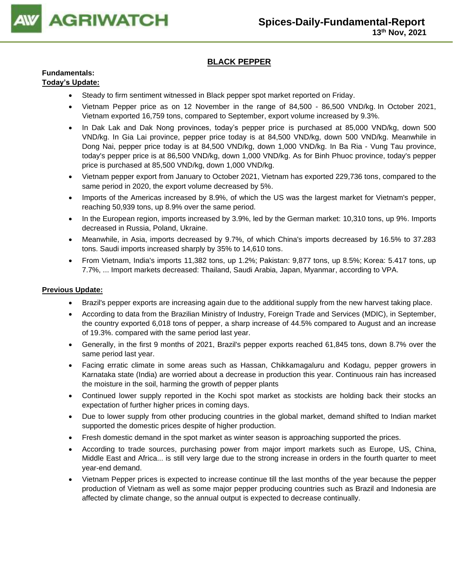

# **BLACK PEPPER**

#### **Fundamentals: Today's Update:**

- Steady to firm sentiment witnessed in Black pepper spot market reported on Friday.
- Vietnam Pepper price as on 12 November in the range of 84,500 86,500 VND/kg. In October 2021, Vietnam exported 16,759 tons, compared to September, export volume increased by 9.3%.
- In Dak Lak and Dak Nong provinces, today's pepper price is purchased at 85,000 VND/kg, down 500 VND/kg. In Gia Lai province, pepper price today is at 84,500 VND/kg, down 500 VND/kg. Meanwhile in Dong Nai, pepper price today is at 84,500 VND/kg, down 1,000 VND/kg. In Ba Ria - Vung Tau province, today's pepper price is at 86,500 VND/kg, down 1,000 VND/kg. As for Binh Phuoc province, today's pepper price is purchased at 85,500 VND/kg, down 1,000 VND/kg.
- Vietnam pepper export from January to October 2021, Vietnam has exported 229,736 tons, compared to the same period in 2020, the export volume decreased by 5%.
- Imports of the Americas increased by 8.9%, of which the US was the largest market for Vietnam's pepper, reaching 50,939 tons, up 8.9% over the same period.
- In the European region, imports increased by 3.9%, led by the German market: 10,310 tons, up 9%. Imports decreased in Russia, Poland, Ukraine.
- Meanwhile, in Asia, imports decreased by 9.7%, of which China's imports decreased by 16.5% to 37.283 tons. Saudi imports increased sharply by 35% to 14,610 tons.
- From Vietnam, India's imports 11,382 tons, up 1.2%; Pakistan: 9,877 tons, up 8.5%; Korea: 5.417 tons, up 7.7%, ... Import markets decreased: Thailand, Saudi Arabia, Japan, Myanmar, according to VPA.

- Brazil's pepper exports are increasing again due to the additional supply from the new harvest taking place.
- According to data from the Brazilian Ministry of Industry, Foreign Trade and Services (MDIC), in September, the country exported 6,018 tons of pepper, a sharp increase of 44.5% compared to August and an increase of 19.3%. compared with the same period last year.
- Generally, in the first 9 months of 2021, Brazil's pepper exports reached 61,845 tons, down 8.7% over the same period last year.
- Facing erratic climate in some areas such as Hassan, Chikkamagaluru and Kodagu, pepper growers in Karnataka state (India) are worried about a decrease in production this year. Continuous rain has increased the moisture in the soil, harming the growth of pepper plants
- Continued lower supply reported in the Kochi spot market as stockists are holding back their stocks an expectation of further higher prices in coming days.
- Due to lower supply from other producing countries in the global market, demand shifted to Indian market supported the domestic prices despite of higher production.
- Fresh domestic demand in the spot market as winter season is approaching supported the prices.
- According to trade sources, purchasing power from major import markets such as Europe, US, China, Middle East and Africa... is still very large due to the strong increase in orders in the fourth quarter to meet year-end demand.
- Vietnam Pepper prices is expected to increase continue till the last months of the year because the pepper production of Vietnam as well as some major pepper producing countries such as Brazil and Indonesia are affected by climate change, so the annual output is expected to decrease continually.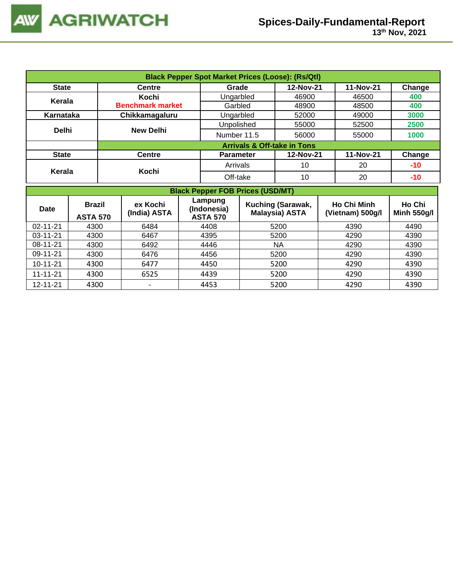| <b>Black Pepper Spot Market Prices (Loose): (Rs/Qtl)</b> |                         |                                        |           |           |        |  |  |  |
|----------------------------------------------------------|-------------------------|----------------------------------------|-----------|-----------|--------|--|--|--|
| <b>State</b>                                             | <b>Centre</b>           | Grade                                  | 12-Nov-21 | 11-Nov-21 | Change |  |  |  |
| Kerala                                                   | Kochi                   | Ungarbled                              | 46900     | 46500     | 400    |  |  |  |
|                                                          | <b>Benchmark market</b> | Garbled                                | 48900     | 48500     | 400    |  |  |  |
| Karnataka                                                | Chikkamagaluru          | Ungarbled                              | 52000     | 49000     | 3000   |  |  |  |
|                                                          |                         | Unpolished                             | 55000     | 52500     | 2500   |  |  |  |
| <b>Delhi</b>                                             | <b>New Delhi</b>        | Number 11.5                            | 56000     | 55000     | 1000   |  |  |  |
|                                                          |                         | <b>Arrivals &amp; Off-take in Tons</b> |           |           |        |  |  |  |
| <b>State</b>                                             | <b>Centre</b>           | <b>Parameter</b>                       | 12-Nov-21 | 11-Nov-21 | Change |  |  |  |
|                                                          | Kochi                   | Arrivals                               | 10        | 20        | $-10$  |  |  |  |
| Kerala                                                   |                         | Off-take                               | 10        | 20        | $-10$  |  |  |  |

|                | <b>Black Pepper FOB Prices (USD/MT)</b> |                                                                       |      |                                                   |                                        |                              |  |  |  |  |
|----------------|-----------------------------------------|-----------------------------------------------------------------------|------|---------------------------------------------------|----------------------------------------|------------------------------|--|--|--|--|
| <b>Date</b>    | <b>Brazil</b><br><b>ASTA 570</b>        | Lampung<br>ex Kochi<br>(Indonesia)<br>(India) ASTA<br><b>ASTA 570</b> |      | <b>Kuching (Sarawak,</b><br><b>Malaysia) ASTA</b> | <b>Ho Chi Minh</b><br>(Vietnam) 500g/l | Ho Chi<br><b>Minh 550g/l</b> |  |  |  |  |
| $02 - 11 - 21$ | 4300                                    | 6484                                                                  | 4408 | 5200                                              | 4390                                   | 4490                         |  |  |  |  |
| $03 - 11 - 21$ | 4300                                    | 6467                                                                  | 4395 | 5200                                              | 4290                                   | 4390                         |  |  |  |  |
| $08 - 11 - 21$ | 4300                                    | 6492                                                                  | 4446 | <b>NA</b>                                         | 4290                                   | 4390                         |  |  |  |  |
| 09-11-21       | 4300                                    | 6476                                                                  | 4456 | 5200                                              | 4290                                   | 4390                         |  |  |  |  |
| $10 - 11 - 21$ | 4300                                    | 6477                                                                  | 4450 | 5200                                              | 4290                                   | 4390                         |  |  |  |  |
| $11 - 11 - 21$ | 4300                                    | 6525                                                                  | 4439 | 5200                                              | 4290                                   | 4390                         |  |  |  |  |
| 12-11-21       | 4300                                    |                                                                       | 4453 | 5200                                              | 4290                                   | 4390                         |  |  |  |  |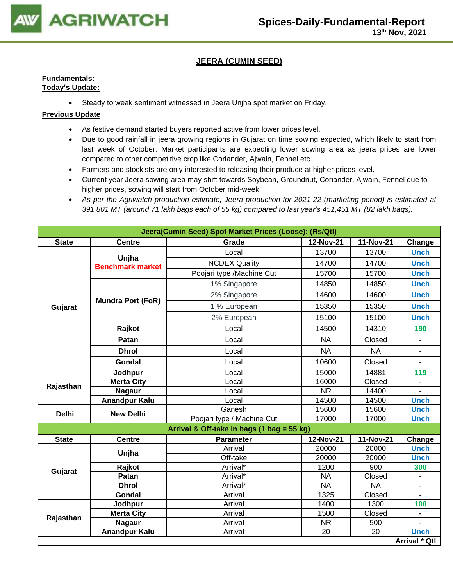

# **JEERA (CUMIN SEED)**

### **Fundamentals: Today's Update:**

• Steady to weak sentiment witnessed in Jeera Unjha spot market on Friday.

- As festive demand started buyers reported active from lower prices level.
- Due to good rainfall in jeera growing regions in Gujarat on time sowing expected, which likely to start from last week of October. Market participants are expecting lower sowing area as jeera prices are lower compared to other competitive crop like Coriander, Ajwain, Fennel etc.
- Farmers and stockists are only interested to releasing their produce at higher prices level.
- Current year Jeera sowing area may shift towards Soybean, Groundnut, Coriander, Ajwain, Fennel due to higher prices, sowing will start from October mid-week.
- As per the Agriwatch production estimate, Jeera production for 2021-22 (marketing period) is estimated at *391,801 MT (around 71 lakh bags each of 55 kg) compared to last year's 451,451 MT (82 lakh bags).*

| Jeera(Cumin Seed) Spot Market Prices (Loose): (Rs/Qtl) |                                  |                                            |           |           |                |  |  |
|--------------------------------------------------------|----------------------------------|--------------------------------------------|-----------|-----------|----------------|--|--|
| <b>State</b>                                           | <b>Centre</b>                    | Grade                                      | 12-Nov-21 | 11-Nov-21 | Change         |  |  |
|                                                        |                                  | Local                                      | 13700     | 13700     | <b>Unch</b>    |  |  |
|                                                        | Unjha<br><b>Benchmark market</b> | <b>NCDEX Quality</b>                       | 14700     | 14700     | <b>Unch</b>    |  |  |
|                                                        |                                  | Poojari type /Machine Cut                  | 15700     | 15700     | <b>Unch</b>    |  |  |
|                                                        |                                  | 1% Singapore                               | 14850     | 14850     | <b>Unch</b>    |  |  |
|                                                        |                                  | 2% Singapore                               | 14600     | 14600     | <b>Unch</b>    |  |  |
| Gujarat                                                | <b>Mundra Port (FoR)</b>         | 1 % European                               | 15350     | 15350     | <b>Unch</b>    |  |  |
|                                                        |                                  | 2% European                                | 15100     | 15100     | <b>Unch</b>    |  |  |
|                                                        | Rajkot                           | Local                                      | 14500     | 14310     | 190            |  |  |
|                                                        | Patan                            | Local                                      | <b>NA</b> | Closed    | $\blacksquare$ |  |  |
|                                                        | <b>Dhrol</b>                     | Local                                      | <b>NA</b> | <b>NA</b> | $\blacksquare$ |  |  |
|                                                        | <b>Gondal</b>                    | Local                                      | 10600     | Closed    |                |  |  |
|                                                        | Jodhpur                          | 15000<br>Local                             |           | 14881     | 119            |  |  |
| Rajasthan                                              | <b>Merta City</b>                | Local                                      | 16000     | Closed    | $\blacksquare$ |  |  |
|                                                        | <b>Nagaur</b>                    | Local                                      | <b>NR</b> | 14400     | $\blacksquare$ |  |  |
|                                                        | <b>Anandpur Kalu</b>             | Local                                      | 14500     | 14500     | <b>Unch</b>    |  |  |
| <b>Delhi</b>                                           | <b>New Delhi</b>                 | Ganesh                                     | 15600     | 15600     | <b>Unch</b>    |  |  |
|                                                        |                                  | Poojari type / Machine Cut                 | 17000     | 17000     | <b>Unch</b>    |  |  |
|                                                        |                                  | Arrival & Off-take in bags (1 bag = 55 kg) |           |           |                |  |  |
| <b>State</b>                                           | <b>Centre</b>                    | <b>Parameter</b>                           | 12-Nov-21 | 11-Nov-21 | Change         |  |  |
|                                                        | Unjha                            | Arrival                                    | 20000     | 20000     | <b>Unch</b>    |  |  |
|                                                        |                                  | Off-take                                   | 20000     | 20000     | <b>Unch</b>    |  |  |
| Gujarat                                                | Rajkot                           | Arrival*                                   | 1200      | 900       | 300            |  |  |
|                                                        | Patan                            | Arrival*                                   | <b>NA</b> | Closed    | $\blacksquare$ |  |  |
|                                                        | <b>Dhrol</b>                     | Arrival*                                   | <b>NA</b> | <b>NA</b> |                |  |  |
|                                                        | Gondal                           | Arrival                                    | 1325      | Closed    |                |  |  |
|                                                        | Jodhpur                          | Arrival                                    | 1400      | 1300      | 100            |  |  |
| Rajasthan                                              | <b>Merta City</b>                | Arrival                                    | 1500      | Closed    |                |  |  |
|                                                        | <b>Nagaur</b>                    | Arrival                                    | <b>NR</b> | 500       |                |  |  |
|                                                        | <b>Anandpur Kalu</b>             | Arrival                                    | 20        | 20        | <b>Unch</b>    |  |  |
|                                                        |                                  |                                            |           |           | Arrival * Qtl  |  |  |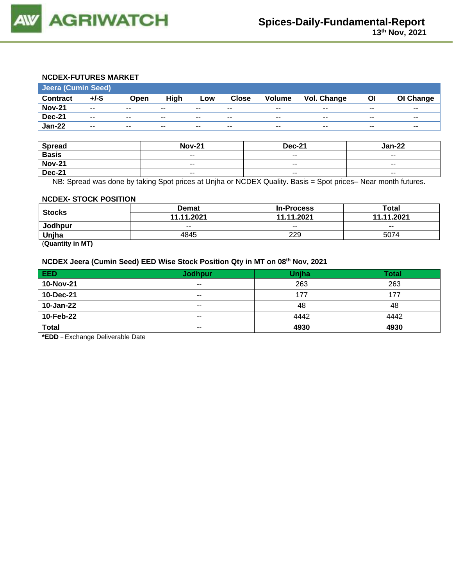

# **NCDEX-FUTURES MARKET**

| <b>Jeera (Cumin Seed)</b> |                          |       |        |       |                          |               |             |       |           |
|---------------------------|--------------------------|-------|--------|-------|--------------------------|---------------|-------------|-------|-----------|
| <b>Contract</b>           | $+/-$ \$                 | Open  | High   | Low   | <b>Close</b>             | <b>Volume</b> | Vol. Change | ΟI    | OI Change |
| <b>Nov-21</b>             | $\overline{\phantom{a}}$ | $- -$ | $\sim$ | $- -$ | $\overline{\phantom{m}}$ | $\sim$ $\sim$ | $- -$       | $- -$ | $- -$     |
| <b>Dec-21</b>             | $\sim$ $\sim$            | $-$   | $\sim$ | $- -$ | $- -$                    | $\sim$ $\sim$ | $\sim$      | $- -$ | $- -$     |
| <b>Jan-22</b>             | $- -$                    | $- -$ | $\sim$ | $- -$ | $- -$                    | $- -$         | $\sim$      | $- -$ | $- -$     |
|                           |                          |       |        |       |                          |               |             |       |           |

| <b>Spread</b> | <b>Nov-21</b> | <b>Dec-21</b>            | Jan-22        |
|---------------|---------------|--------------------------|---------------|
| <b>Basis</b>  | $- -$         | $\overline{\phantom{a}}$ | $- -$         |
| <b>Nov-21</b> | $- -$         | $- -$                    | $- -$         |
| <b>Dec-21</b> | $\sim$ $\sim$ | $\overline{\phantom{a}}$ | $\sim$ $\sim$ |

NB: Spread was done by taking Spot prices at Unjha or NCDEX Quality. Basis = Spot prices– Near month futures.

#### **NCDEX- STOCK POSITION**

| <b>Stocks</b> | <b>Demat</b> | <b>In-Process</b> | Total          |  |
|---------------|--------------|-------------------|----------------|--|
|               | 11.11.2021   | 11.11.2021        | 11.11.2021     |  |
| Jodhpur       | $- -$        | $-$               | $\blacksquare$ |  |
| Unjha         | 4845         | 229               | 5074           |  |
| ____<br>__    |              |                   |                |  |

(**Quantity in MT)**

#### **NCDEX Jeera (Cumin Seed) EED Wise Stock Position Qty in MT on 08 th Nov, 2021**

| EED          | <b>Jodhpur</b> | <b>Unjha</b> | <b>Total</b> |
|--------------|----------------|--------------|--------------|
| 10-Nov-21    | $- -$          | 263          | 263          |
| 10-Dec-21    | $- -$          | 177          | 177          |
| 10-Jan-22    | $- -$          | 48           | 48           |
| 10-Feb-22    | $- -$          | 4442         | 4442         |
| <b>Total</b> | $- -$          | 4930         | 4930         |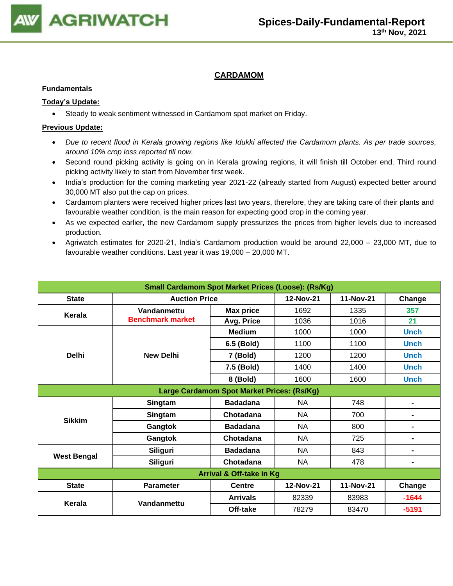

# **CARDAMOM**

### **Fundamentals**

## **Today's Update:**

• Steady to weak sentiment witnessed in Cardamom spot market on Friday.

- *Due to recent flood in Kerala growing regions like Idukki affected the Cardamom plants. As per trade sources, around 10% crop loss reported till now.*
- Second round picking activity is going on in Kerala growing regions, it will finish till October end. Third round picking activity likely to start from November first week.
- India's production for the coming marketing year 2021-22 (already started from August) expected better around 30,000 MT also put the cap on prices.
- Cardamom planters were received higher prices last two years, therefore, they are taking care of their plants and favourable weather condition, is the main reason for expecting good crop in the coming year.
- As we expected earlier, the new Cardamom supply pressurizes the prices from higher levels due to increased production.
- Agriwatch estimates for 2020-21, India's Cardamom production would be around 22,000 23,000 MT, due to favourable weather conditions. Last year it was 19,000 – 20,000 MT.

| <b>Small Cardamom Spot Market Prices (Loose): (Rs/Kg)</b> |                         |                                            |           |           |                |  |  |
|-----------------------------------------------------------|-------------------------|--------------------------------------------|-----------|-----------|----------------|--|--|
| <b>State</b>                                              | <b>Auction Price</b>    |                                            | 12-Nov-21 | 11-Nov-21 | Change         |  |  |
| Kerala                                                    | Vandanmettu             | <b>Max price</b>                           | 1692      | 1335      | 357            |  |  |
|                                                           | <b>Benchmark market</b> | Avg. Price                                 | 1036      | 1016      | 21             |  |  |
|                                                           |                         | <b>Medium</b>                              | 1000      | 1000      | <b>Unch</b>    |  |  |
|                                                           |                         | 6.5 (Bold)                                 | 1100      | 1100      | <b>Unch</b>    |  |  |
| <b>Delhi</b>                                              | <b>New Delhi</b>        | 7 (Bold)                                   | 1200      | 1200      | <b>Unch</b>    |  |  |
|                                                           |                         | 7.5 (Bold)                                 | 1400      | 1400      | <b>Unch</b>    |  |  |
|                                                           |                         | 8 (Bold)                                   | 1600      | 1600      | <b>Unch</b>    |  |  |
|                                                           |                         | Large Cardamom Spot Market Prices: (Rs/Kg) |           |           |                |  |  |
|                                                           | Singtam                 | <b>Badadana</b>                            | <b>NA</b> | 748       | $\blacksquare$ |  |  |
| <b>Sikkim</b>                                             | Singtam                 | Chotadana                                  | NA        | 700       | $\blacksquare$ |  |  |
|                                                           | Gangtok                 | <b>Badadana</b>                            | <b>NA</b> | 800       | $\blacksquare$ |  |  |
|                                                           | Gangtok                 | Chotadana                                  | <b>NA</b> | 725       | $\blacksquare$ |  |  |
|                                                           | Siliguri                | <b>Badadana</b>                            | <b>NA</b> | 843       | $\blacksquare$ |  |  |
| <b>West Bengal</b>                                        | <b>Siliguri</b>         | Chotadana                                  | NA        | 478       | $\blacksquare$ |  |  |
| <b>Arrival &amp; Off-take in Kg</b>                       |                         |                                            |           |           |                |  |  |
| <b>State</b>                                              | <b>Parameter</b>        | <b>Centre</b>                              | 12-Nov-21 | 11-Nov-21 | Change         |  |  |
|                                                           |                         | <b>Arrivals</b>                            | 82339     | 83983     | $-1644$        |  |  |
| Kerala                                                    | Vandanmettu             | Off-take                                   | 78279     | 83470     | $-5191$        |  |  |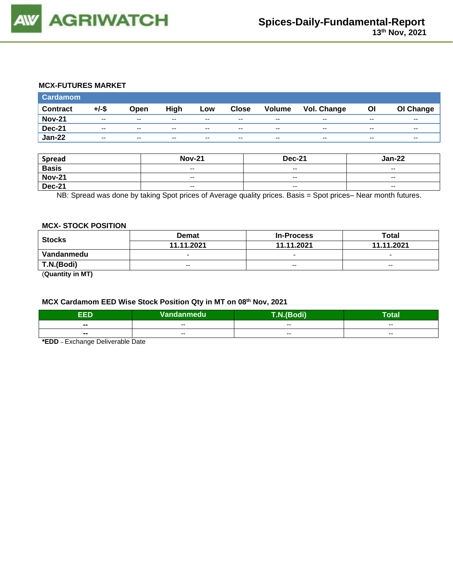

### **MCX-FUTURES MARKET**

| <b>Cardamom</b> |                          |                          |       |       |              |               |             |       |           |
|-----------------|--------------------------|--------------------------|-------|-------|--------------|---------------|-------------|-------|-----------|
| <b>Contract</b> | $+/-$ \$                 | Open                     | High  | Low   | <b>Close</b> | <b>Volume</b> | Vol. Change | Οl    | OI Change |
| <b>Nov-21</b>   | $\overline{\phantom{a}}$ | $\overline{\phantom{m}}$ | $- -$ | $- -$ | $- -$        | $- -$         | $- -$       | $- -$ | $- -$     |
| <b>Dec-21</b>   | $- -$                    | $- -$                    | $- -$ | $- -$ | $- -$        | $-$           | $- -$       | $- -$ | $- -$     |
| <b>Jan-22</b>   | $- -$                    | $- -$                    | $- -$ | $- -$ | $- -$        | $- -$         | $- -$       | $- -$ | $- -$     |

| <b>Spread</b> | <b>Nov-21</b>            | <b>Dec-21</b> | <b>Jan-22</b> |
|---------------|--------------------------|---------------|---------------|
| <b>Basis</b>  | $\overline{\phantom{a}}$ | $-$           | $-$           |
| <b>Nov-21</b> | $\overline{\phantom{a}}$ | $\sim$ $\sim$ | $- -$         |
| <b>Dec-21</b> | --                       | $-$           | $- -$         |

NB: Spread was done by taking Spot prices of Average quality prices. Basis = Spot prices– Near month futures.

#### **MCX- STOCK POSITION**

| <b>Stocks</b> | <b>Demat</b>             | <b>In-Process</b>        | Total                    |  |
|---------------|--------------------------|--------------------------|--------------------------|--|
|               | 11.11.2021               | 11.11.2021               | 11.11.2021               |  |
| Vandanmedu    | $\overline{\phantom{0}}$ | $\overline{\phantom{0}}$ | $\overline{\phantom{0}}$ |  |
| T.N.(Bodi)    | $-$                      | $-$                      | $-$                      |  |
| -----         |                          |                          |                          |  |

(**Quantity in MT)**

# **MCX Cardamom EED Wise Stock Position Qty in MT on 08th Nov, 2021**

| ccn            | $N$ ar<br>danmedu'<br>'n Te | di)<br>. . | -<br>otal |
|----------------|-----------------------------|------------|-----------|
| $\blacksquare$ | $- -$                       | $- -$      | $- -$     |
| $\sim$         | $- -$                       | $- -$      | $- -$     |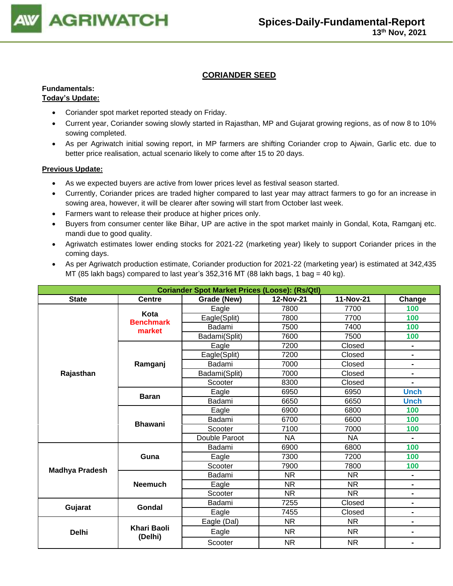

# **CORIANDER SEED**

### **Fundamentals: Today's Update:**

## • Coriander spot market reported steady on Friday.

- Current year, Coriander sowing slowly started in Rajasthan, MP and Gujarat growing regions, as of now 8 to 10% sowing completed.
- As per Agriwatch initial sowing report, in MP farmers are shifting Coriander crop to Ajwain, Garlic etc. due to better price realisation, actual scenario likely to come after 15 to 20 days.

- As we expected buyers are active from lower prices level as festival season started.
- Currently, Coriander prices are traded higher compared to last year may attract farmers to go for an increase in sowing area, however, it will be clearer after sowing will start from October last week.
- Farmers want to release their produce at higher prices only.
- Buyers from consumer center like Bihar, UP are active in the spot market mainly in Gondal, Kota, Ramganj etc. mandi due to good quality.
- Agriwatch estimates lower ending stocks for 2021-22 (marketing year) likely to support Coriander prices in the coming days.
- As per Agriwatch production estimate, Coriander production for 2021-22 (marketing year) is estimated at 342,435 MT (85 lakh bags) compared to last year's 352,316 MT (88 lakh bags, 1 bag = 40 kg).

| <b>Coriander Spot Market Prices (Loose): (Rs/Qtl)</b> |                               |               |           |           |                |  |  |
|-------------------------------------------------------|-------------------------------|---------------|-----------|-----------|----------------|--|--|
| <b>State</b>                                          | <b>Centre</b>                 | Grade (New)   | Change    |           |                |  |  |
|                                                       |                               | Eagle         | 7800      | 7700      | 100            |  |  |
|                                                       | Kota<br><b>Benchmark</b>      | Eagle(Split)  | 7800      | 7700      | 100            |  |  |
|                                                       | market                        | Badami        | 7500      | 7400      | 100            |  |  |
|                                                       |                               | Badami(Split) | 7600      | 7500      | 100            |  |  |
|                                                       |                               | Eagle         | 7200      | Closed    | Ξ.             |  |  |
|                                                       |                               | Eagle(Split)  | 7200      | Closed    | Ξ.             |  |  |
|                                                       | Ramganj                       | Badami        | 7000      | Closed    | -              |  |  |
| Rajasthan                                             |                               | Badami(Split) | 7000      | Closed    | -              |  |  |
|                                                       |                               | Scooter       | 8300      | Closed    |                |  |  |
|                                                       | <b>Baran</b>                  | Eagle         | 6950      | 6950      | <b>Unch</b>    |  |  |
|                                                       |                               | Badami        | 6650      | 6650      | <b>Unch</b>    |  |  |
|                                                       | <b>Bhawani</b>                | Eagle         | 6900      | 6800      | 100            |  |  |
|                                                       |                               | Badami        | 6700      | 6600      | 100            |  |  |
|                                                       |                               | Scooter       | 7100      | 7000      | 100            |  |  |
|                                                       |                               | Double Paroot | <b>NA</b> | NA        | $\blacksquare$ |  |  |
|                                                       |                               | Badami        | 6900      | 6800      | 100            |  |  |
|                                                       | Guna                          | Eagle         | 7300      | 7200      | 100            |  |  |
| <b>Madhya Pradesh</b>                                 |                               | Scooter       | 7900      | 7800      | 100            |  |  |
|                                                       |                               | Badami        | NR.       | NR.       | $\blacksquare$ |  |  |
|                                                       | <b>Neemuch</b>                | Eagle         | <b>NR</b> | <b>NR</b> | $\blacksquare$ |  |  |
|                                                       |                               | Scooter       | <b>NR</b> | <b>NR</b> | -              |  |  |
| Gujarat                                               | Gondal                        | Badami        | 7255      | Closed    | $\blacksquare$ |  |  |
|                                                       |                               | Eagle         | 7455      | Closed    | -              |  |  |
|                                                       |                               | Eagle (Dal)   | <b>NR</b> | <b>NR</b> | $\blacksquare$ |  |  |
| <b>Delhi</b>                                          | <b>Khari Baoli</b><br>(Delhi) | Eagle         | <b>NR</b> | <b>NR</b> |                |  |  |
|                                                       |                               | Scooter       | <b>NR</b> | <b>NR</b> | $\blacksquare$ |  |  |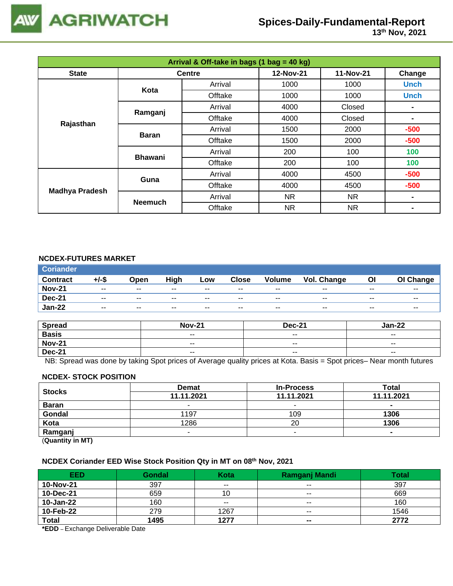

# **Spices-Daily-Fundamental-Report**

| Arrival & Off-take in bags (1 bag = 40 kg) |                |               |           |           |             |  |  |
|--------------------------------------------|----------------|---------------|-----------|-----------|-------------|--|--|
| <b>State</b>                               |                | <b>Centre</b> | 12-Nov-21 | 11-Nov-21 | Change      |  |  |
|                                            | Kota           | Arrival       | 1000      | 1000      | <b>Unch</b> |  |  |
|                                            |                | Offtake       | 1000      | 1000      | <b>Unch</b> |  |  |
|                                            |                | Arrival       | 4000      | Closed    |             |  |  |
|                                            | Ramganj        | Offtake       | 4000      | Closed    |             |  |  |
| Rajasthan                                  |                | Arrival       | 1500      | 2000      | $-500$      |  |  |
|                                            | <b>Baran</b>   | Offtake       | 1500      | 2000      | $-500$      |  |  |
|                                            | <b>Bhawani</b> | Arrival       | 200       | 100       | 100         |  |  |
|                                            |                | Offtake       | 200       | 100       | 100         |  |  |
|                                            | Guna           | Arrival       | 4000      | 4500      | $-500$      |  |  |
| <b>Madhya Pradesh</b>                      |                | Offtake       | 4000      | 4500      | $-500$      |  |  |
|                                            | <b>Neemuch</b> | Arrival       | NR.       | NR.       |             |  |  |
|                                            |                | Offtake       | NR.       | NR.       |             |  |  |

## **NCDEX-FUTURES MARKET**

| <b>Coriander</b> |          |                          |       |       |              |               |             |       |                          |
|------------------|----------|--------------------------|-------|-------|--------------|---------------|-------------|-------|--------------------------|
| <b>Contract</b>  | $+/-$ \$ | Open                     | High  | Low   | <b>Close</b> | <b>Volume</b> | Vol. Change | ΟI    | OI Change                |
| <b>Nov-21</b>    | $- -$    | $- -$                    | $- -$ | $- -$ | $- -$        | $- -$         | $- -$       | $- -$ | $- -$                    |
| <b>Dec-21</b>    | $- -$    | $\overline{\phantom{a}}$ | $- -$ | $- -$ | $- -$        | $- -$         | $- -$       | $- -$ | $\overline{\phantom{a}}$ |
| <b>Jan-22</b>    | $- -$    | $\overline{\phantom{a}}$ | $- -$ | $- -$ | $- -$        | $- -$         | $- -$       | $- -$ | $- -$                    |

| <b>Spread</b> | <b>Nov-21</b> | <b>Dec-21</b>            | Jan-22        |
|---------------|---------------|--------------------------|---------------|
| <b>Basis</b>  | $\sim$ $\sim$ | $\overline{\phantom{a}}$ | $- -$         |
| <b>Nov-21</b> | $- -$         | $- -$                    | $- -$         |
| <b>Dec-21</b> | $\sim$ $\sim$ | $\overline{\phantom{a}}$ | $\sim$ $\sim$ |

NB: Spread was done by taking Spot prices of Average quality prices at Kota. Basis = Spot prices– Near month futures

#### **NCDEX- STOCK POSITION**

| <b>Stocks</b>         | <b>Demat</b> | <b>In-Process</b> | Total      |
|-----------------------|--------------|-------------------|------------|
|                       | 11.11.2021   | 11.11.2021        | 11.11.2021 |
| <b>Baran</b>          |              | -                 | $\sim$     |
| Gondal                | 1197         | 109               | 1306       |
| Kota                  | 1286         | 20                | 1306       |
| Ramganj               |              |                   |            |
| (0.122, 0.012, 0.012) |              |                   |            |

(**Quantity in MT)**

### **NCDEX Coriander EED Wise Stock Position Qty in MT on 08th Nov, 2021**

| <b>EED</b>   | <b>Gondal</b> | Kota  | <b>Ramganj Mandi</b>     | <b>Total</b> |
|--------------|---------------|-------|--------------------------|--------------|
| 10-Nov-21    | 397           | $- -$ | $- -$                    | 397          |
| 10-Dec-21    | 659           | 10    | $\overline{\phantom{m}}$ | 669          |
| 10-Jan-22    | 160           | $- -$ | $- -$                    | 160          |
| 10-Feb-22    | 279           | 1267  | $- -$                    | 1546         |
| <b>Total</b> | 1495          | 1277  | $\blacksquare$           | 2772         |